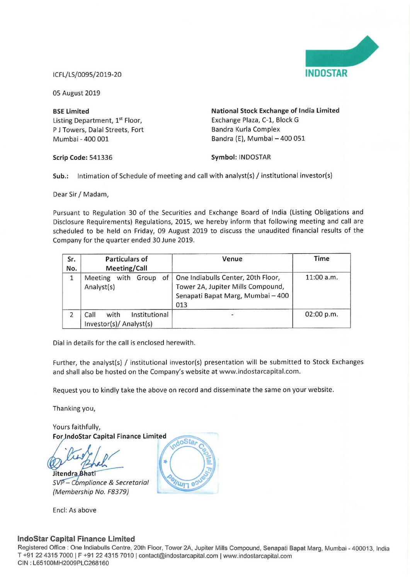

lCFL/LS/0095/2019-20 INDOSTAR

05 August 2019

Listing Department, 1<sup>st</sup> Floor, Exchange Plaza, C-1, B<br>
P J Towers, Dalal Streets, Fort Bandra Kurla Complex P J Towers, Dalal Streets, Fort<br>Mumbai - 400 001

BSE Limited<br>
Listing Department, 1<sup>st</sup> Floor,<br>
Exchange Plaza, C-1, Block G<br>
Exchange Plaza, C-1, Block G Bandra (E), Mumbai - 400 051

Scrip Code: 541336 Symbol: INDOSTAR

Sub.: Intimation of Schedule of meeting and call with analyst(s) / institutional investor(s)

Dear Sir/ Madam,

Pursuant to Regulation <sup>30</sup> of the Securities and Exchange Board of india (Listing Obligations and Disclosure Requirements) Regulations, 2015, we hereby inform that following meeting and call are scheduled to be held on Friday, 09 August 2019 to discuss the unaudited financial results of the Company for the quarter ended 30 June 2019.

| Sr.<br>No.                                        | <b>Particulars of</b><br><b>Meeting/Call</b>             | Venue                                                                                                               | Time         |  |
|---------------------------------------------------|----------------------------------------------------------|---------------------------------------------------------------------------------------------------------------------|--------------|--|
| of<br>with<br>Meeting<br>Group<br>1<br>Analyst(s) |                                                          | One Indiabulls Center, 20th Floor,<br>Tower 2A, Jupiter Mills Compound,<br>Senapati Bapat Marg, Mumbai - 400<br>013 | $11:00$ a.m. |  |
|                                                   | Institutional<br>with<br>Call<br>Investor(s)/ Analyst(s) |                                                                                                                     | 02:00 p.m.   |  |

Dial in details for the call is enclosed herewith.

Further, the analyst(s) / institutional investor(s) presentation will be submitted to Stock Exchanges and shall also be hosted on the Company's website at www.indostarcapital.com.

Request you to kindly take the above on record and disseminate the same on your website.

Thanking you,

Yours faithfully, For IndoStar Capital Finance Limited

Jitendra Bhati

– C $bm$ re & Secretarial (Membership No. F8379)

Encl: As above

**UUI** 

## lndoStar Capital Finance Limited

Registered Office : One Indiabulls Centre, 20th Floor. Tower 2A, Jupiter Mills Compound, Senapati Bapat Marg, Mumbai - 400013, India T +91 22 4315 7000 <sup>|</sup> <sup>F</sup> +91 22 4315 7010 <sup>l</sup> contact@indostarcapitalcom <sup>|</sup> wwwrindostarcapitalcom CIN : L65100MH2009PLC268160